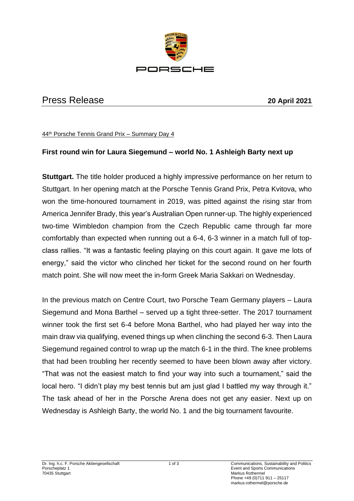

## Press Release **20 April 2021**

44th Porsche Tennis Grand Prix – Summary Day 4

## **First round win for Laura Siegemund – world No. 1 Ashleigh Barty next up**

**Stuttgart.** The title holder produced a highly impressive performance on her return to Stuttgart. In her opening match at the Porsche Tennis Grand Prix, Petra Kvitova, who won the time-honoured tournament in 2019, was pitted against the rising star from America Jennifer Brady, this year's Australian Open runner-up. The highly experienced two-time Wimbledon champion from the Czech Republic came through far more comfortably than expected when running out a 6-4, 6-3 winner in a match full of topclass rallies. "It was a fantastic feeling playing on this court again. It gave me lots of energy," said the victor who clinched her ticket for the second round on her fourth match point. She will now meet the in-form Greek Maria Sakkari on Wednesday.

In the previous match on Centre Court, two Porsche Team Germany players – Laura Siegemund and Mona Barthel – served up a tight three-setter. The 2017 tournament winner took the first set 6-4 before Mona Barthel, who had played her way into the main draw via qualifying, evened things up when clinching the second 6-3. Then Laura Siegemund regained control to wrap up the match 6-1 in the third. The knee problems that had been troubling her recently seemed to have been blown away after victory. "That was not the easiest match to find your way into such a tournament," said the local hero. "I didn't play my best tennis but am just glad I battled my way through it." The task ahead of her in the Porsche Arena does not get any easier. Next up on Wednesday is Ashleigh Barty, the world No. 1 and the big tournament favourite.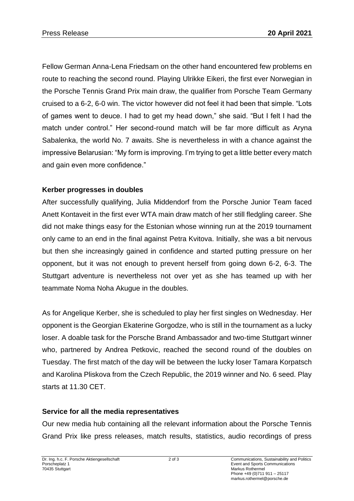Fellow German Anna-Lena Friedsam on the other hand encountered few problems en route to reaching the second round. Playing Ulrikke Eikeri, the first ever Norwegian in the Porsche Tennis Grand Prix main draw, the qualifier from Porsche Team Germany cruised to a 6-2, 6-0 win. The victor however did not feel it had been that simple. "Lots of games went to deuce. I had to get my head down," she said. "But I felt I had the match under control." Her second-round match will be far more difficult as Aryna Sabalenka, the world No. 7 awaits. She is nevertheless in with a chance against the impressive Belarusian: "My form is improving. I'm trying to get a little better every match and gain even more confidence."

## **Kerber progresses in doubles**

After successfully qualifying, Julia Middendorf from the Porsche Junior Team faced Anett Kontaveit in the first ever WTA main draw match of her still fledgling career. She did not make things easy for the Estonian whose winning run at the 2019 tournament only came to an end in the final against Petra Kvitova. Initially, she was a bit nervous but then she increasingly gained in confidence and started putting pressure on her opponent, but it was not enough to prevent herself from going down 6-2, 6-3. The Stuttgart adventure is nevertheless not over yet as she has teamed up with her teammate Noma Noha Akugue in the doubles.

As for Angelique Kerber, she is scheduled to play her first singles on Wednesday. Her opponent is the Georgian Ekaterine Gorgodze, who is still in the tournament as a lucky loser. A doable task for the Porsche Brand Ambassador and two-time Stuttgart winner who, partnered by Andrea Petkovic, reached the second round of the doubles on Tuesday. The first match of the day will be between the lucky loser Tamara Korpatsch and Karolina Pliskova from the Czech Republic, the 2019 winner and No. 6 seed. Play starts at 11.30 CET.

## **Service for all the media representatives**

Our new media hub containing all the relevant information about the Porsche Tennis Grand Prix like press releases, match results, statistics, audio recordings of press